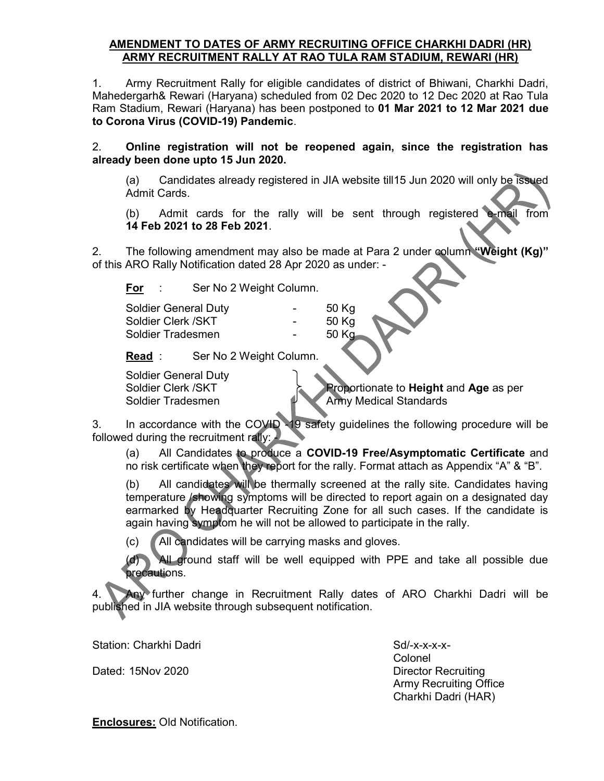## AMENDMENT TO DATES OF ARMY RECRUITING OFFICE CHARKHI DADRI (HR) ARMY RECRUITMENT RALLY AT RAO TULA RAM STADIUM, REWARI (HR)

1. Army Recruitment Rally for eligible candidates of district of Bhiwani, Charkhi Dadri, Mahedergarh& Rewari (Haryana) scheduled from 02 Dec 2020 to 12 Dec 2020 at Rao Tula Ram Stadium, Rewari (Haryana) has been postponed to 01 Mar 2021 to 12 Mar 2021 due to Corona Virus (COVID-19) Pandemic.

2. Online registration will not be reopened again, since the registration has already been done upto 15 Jun 2020.

(a) Candidates already registered in JIA website till15 Jun 2020 will only be issued Admit Cards.

(b) Admit cards for the rally will be sent through registered e-mail from 14 Feb 2021 to 28 Feb 2021.

2. The following amendment may also be made at Para 2 under column "Weight (Kg)" of this ARO Rally Notification dated 28 Apr 2020 as under: -

For : Ser No 2 Weight Column.

| <b>Soldier General Duty</b> | $\sim$ | 50 Kg |  |
|-----------------------------|--------|-------|--|
| Soldier Clerk / SKT         |        | 50 Kg |  |
| Soldier Tradesmen           | $\sim$ | 50 Kg |  |
|                             |        |       |  |

Read : Ser No 2 Weight Column.

Soldier General Duty

Soldier Clerk /SKT **Proportionate to Height and Age as per** Soldier Tradesmen Army Medical Standards

3. In accordance with the COVID -19 safety guidelines the following procedure will be followed during the recruitment rally:

(a) All Candidates to produce a COVID-19 Free/Asymptomatic Certificate and no risk certificate when they report for the rally. Format attach as Appendix "A" & "B".

(b) All candidates will be thermally screened at the rally site. Candidates having temperature /showing symptoms will be directed to report again on a designated day earmarked by Headquarter Recruiting Zone for all such cases. If the candidate is again having symptom he will not be allowed to participate in the rally.

(c) All candidates will be carrying masks and gloves.

 (d) All ground staff will be well equipped with PPE and take all possible due **precautions.** 

4. Any further change in Recruitment Rally dates of ARO Charkhi Dadri will be published in JIA website through subsequent notification.

Station: Charkhi Dadri Sd/-x-x-x-x-

Dated: 15Nov 2020 **Director Recruiting** 

**Colonel Colonel Colonel**  Army Recruiting Office Charkhi Dadri (HAR)

Enclosures: Old Notification.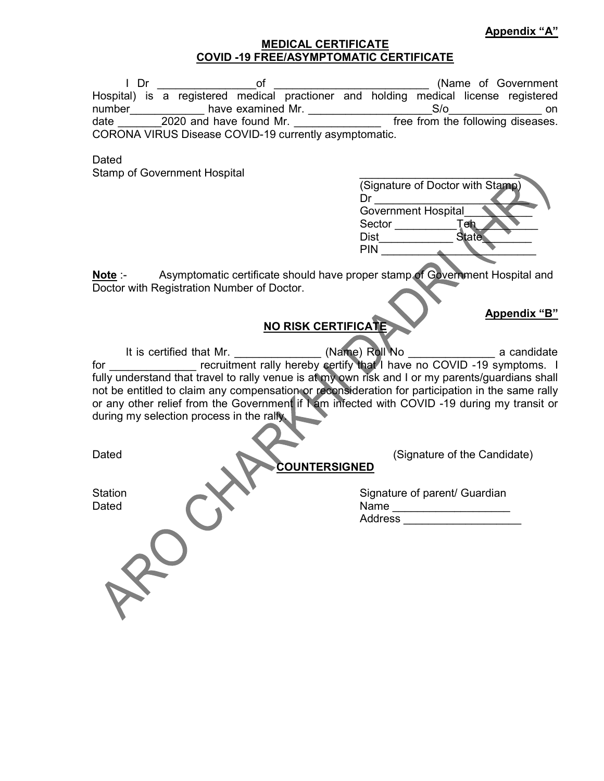Appendix "B"

## MEDICAL CERTIFICATE COVID -19 FREE/ASYMPTOMATIC CERTIFICATE

| – Dr                                                  | ΩT                                                                                  |  | (Name of Government               |     |  |
|-------------------------------------------------------|-------------------------------------------------------------------------------------|--|-----------------------------------|-----|--|
|                                                       | Hospital) is a registered medical practioner and holding medical license registered |  |                                   |     |  |
| number                                                | have examined Mr.                                                                   |  | $S/\alpha$                        | on. |  |
| date                                                  | 2020 and have found Mr.                                                             |  | free from the following diseases. |     |  |
| CORONA VIRUS Disease COVID-19 currently asymptomatic. |                                                                                     |  |                                   |     |  |

**Dated** 

Stamp of Government Hospital

|  | (Signature of Doctor with Stamp) |  |
|--|----------------------------------|--|
|  |                                  |  |
|  | <b>Government Hospital</b>       |  |
|  | Sector<br>er                     |  |
|  | <b>Dist</b><br>State             |  |
|  | <b>PIN</b>                       |  |
|  |                                  |  |

Note :- Asymptomatic certificate should have proper stamp of Government Hospital and Doctor with Registration Number of Doctor.

# NO RISK CERTIFICATE

It is certified that Mr. (Name) Roll No a candidate a candidate for \_\_\_\_\_\_\_\_\_\_\_\_\_\_ recruitment rally hereby certify that I have no COVID -19 symptoms. I fully understand that travel to rally venue is at my own risk and I or my parents/guardians shall not be entitled to claim any compensation or reconsideration for participation in the same rally or any other relief from the Government if I am infected with COVID -19 during my transit or during my selection process in the rally.

Dated (Signature of the Candidate) COUNTERSIGNED

Station Station Signature of parent/ Guardian Dated Name Name Address \_\_\_\_\_\_\_\_\_\_\_\_\_\_\_\_\_\_\_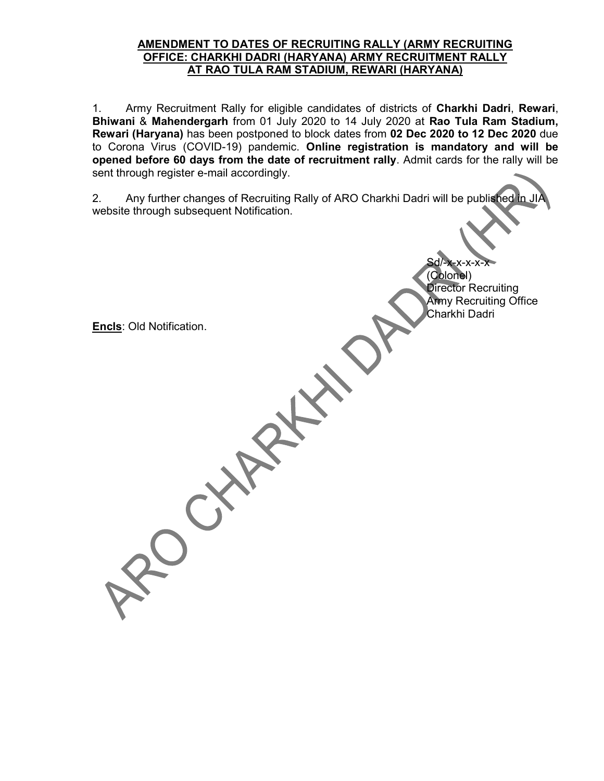#### AMENDMENT TO DATES OF RECRUITING RALLY (ARMY RECRUITING OFFICE: CHARKHI DADRI (HARYANA) ARMY RECRUITMENT RALLY AT RAO TULA RAM STADIUM, REWARI (HARYANA)

1. Army Recruitment Rally for eligible candidates of districts of Charkhi Dadri, Rewari, Bhiwani & Mahendergarh from 01 July 2020 to 14 July 2020 at Rao Tula Ram Stadium, Rewari (Haryana) has been postponed to block dates from 02 Dec 2020 to 12 Dec 2020 due to Corona Virus (COVID-19) pandemic. Online registration is mandatory and will be opened before 60 days from the date of recruitment rally. Admit cards for the rally will be sent through register e-mail accordingly.

2. Any further changes of Recruiting Rally of ARO Charkhi Dadri will be published in JIA website through subsequent Notification.

> Sd/-x-x-x-x-x (Colonel) Director Recruiting Army Recruiting Office Charkhi Dadri

Encls: Old Notification.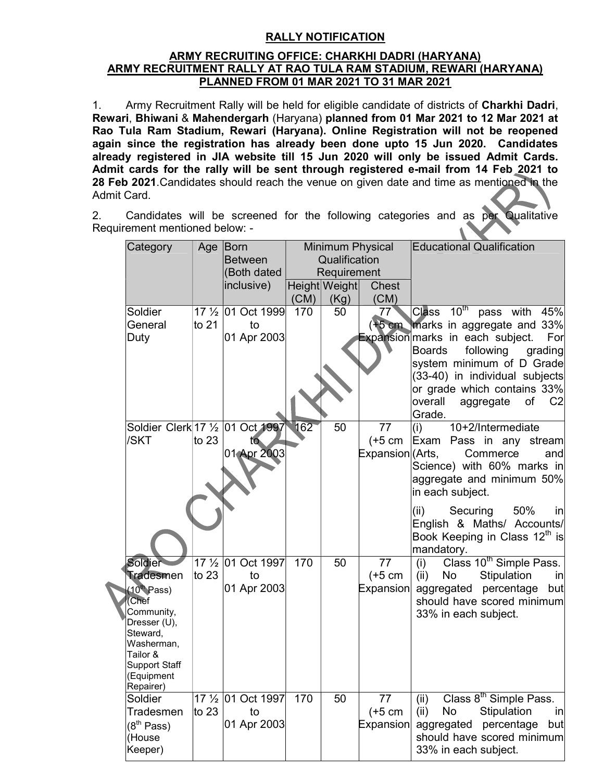# RALLY NOTIFICATION

#### ARMY RECRUITING OFFICE: CHARKHI DADRI (HARYANA) ARMY RECRUITMENT RALLY AT RAO TULA RAM STADIUM, REWARI (HARYANA) PLANNED FROM 01 MAR 2021 TO 31 MAR 2021

1. Army Recruitment Rally will be held for eligible candidate of districts of Charkhi Dadri, Rewari, Bhiwani & Mahendergarh (Haryana) planned from 01 Mar 2021 to 12 Mar 2021 at Rao Tula Ram Stadium, Rewari (Haryana). Online Registration will not be reopened again since the registration has already been done upto 15 Jun 2020. Candidates already registered in JIA website till 15 Jun 2020 will only be issued Admit Cards. Admit cards for the rally will be sent through registered e-mail from 14 Feb 2021 to 28 Feb 2021. Candidates should reach the venue on given date and time as mentioned in the Admit Card.

2. Candidates will be screened for the following categories and as per Qualitative Requirement mentioned below: -

| Category                         | Age                            | Born                           |      | <b>Minimum Physical</b> |                  | <b>Educational Qualification</b>                                        |
|----------------------------------|--------------------------------|--------------------------------|------|-------------------------|------------------|-------------------------------------------------------------------------|
|                                  |                                | <b>Between</b>                 |      | Qualification           |                  |                                                                         |
|                                  |                                | (Both dated                    |      | Requirement             |                  |                                                                         |
|                                  |                                | inclusive)                     |      | Height Weight           | <b>Chest</b>     |                                                                         |
|                                  |                                |                                | (CM) | (Kg)                    | (CM)             |                                                                         |
| Soldier                          | 17 <sup>1</sup> / <sub>2</sub> | 01 Oct 1999                    | 170  | 50                      | 77               | Class 10 <sup>th</sup><br>pass with<br>45%                              |
| General                          | to 21                          | to                             |      |                         | $+5$ cm          | marks in aggregate and 33%                                              |
| Duty                             |                                | 01 Apr 2003                    |      |                         |                  | Expansion marks in each subject.<br>For                                 |
|                                  |                                |                                |      |                         |                  | <b>Boards</b><br>following grading                                      |
|                                  |                                |                                |      |                         |                  | system minimum of D Grade                                               |
|                                  |                                |                                |      |                         |                  | $(33-40)$ in individual subjects                                        |
|                                  |                                |                                |      |                         |                  | or grade which contains 33%                                             |
|                                  |                                |                                |      |                         |                  | overall<br>aggregate<br>of<br>C <sub>2</sub><br>Grade.                  |
| Soldier Clerk 17 1/2 01 Oct 1997 |                                |                                | 162  | 50                      | 77               | 10+2/Intermediate<br>(i)                                                |
| /SKT                             | to 23                          | to                             |      |                         | $(+5 cm)$        | Exam Pass in any stream                                                 |
|                                  |                                | 01 Apr 2003                    |      |                         | Expansion (Arts, | Commerce<br>and                                                         |
|                                  |                                |                                |      |                         |                  | Science) with 60% marks in                                              |
|                                  |                                |                                |      |                         |                  | aggregate and minimum 50%                                               |
|                                  |                                |                                |      |                         |                  | in each subject.                                                        |
|                                  |                                |                                |      |                         |                  |                                                                         |
|                                  |                                |                                |      |                         |                  | (ii)<br>Securing<br>50%<br>in                                           |
|                                  |                                |                                |      |                         |                  | English & Maths/ Accounts/<br>Book Keeping in Class 12 <sup>th</sup> is |
|                                  |                                |                                |      |                         |                  | mandatory.                                                              |
| Soldier                          | 17 <sup>1</sup> / <sub>2</sub> | 01 Oct 1997                    | 170  | 50                      | 77               | Class 10 <sup>th</sup> Simple Pass.<br>(i)                              |
| <b>Tradesmen</b>                 | to 23                          | to                             |      |                         | $(+5 cm)$        | Stipulation<br>(ii)<br>No l<br>in                                       |
| (10 <sup>th</sup> Pass)          |                                | 01 Apr 2003                    |      |                         | Expansion        | aggregated percentage<br>but                                            |
| Chef                             |                                |                                |      |                         |                  | should have scored minimum                                              |
| Community,                       |                                |                                |      |                         |                  | 33% in each subject.                                                    |
| Dresser (U),<br>Steward,         |                                |                                |      |                         |                  |                                                                         |
| Washerman,                       |                                |                                |      |                         |                  |                                                                         |
| Tailor &                         |                                |                                |      |                         |                  |                                                                         |
| <b>Support Staff</b>             |                                |                                |      |                         |                  |                                                                         |
| (Equipment<br>Repairer)          |                                |                                |      |                         |                  |                                                                         |
| Soldier                          |                                | 17 1/ <sub>2</sub> 01 Oct 1997 | 170  | 50                      | 77               | Class 8 <sup>th</sup> Simple Pass.<br>(ii)                              |
| Tradesmen                        | to $23$                        | to                             |      |                         | $(+5 cm)$        | (ii)<br>No<br>Stipulation<br>in                                         |
| (8 <sup>th</sup> Pass)           |                                | 01 Apr 2003                    |      |                         | Expansion        | aggregated percentage<br>but                                            |
| (House                           |                                |                                |      |                         |                  | should have scored minimum                                              |
| Keeper)                          |                                |                                |      |                         |                  | 33% in each subject.                                                    |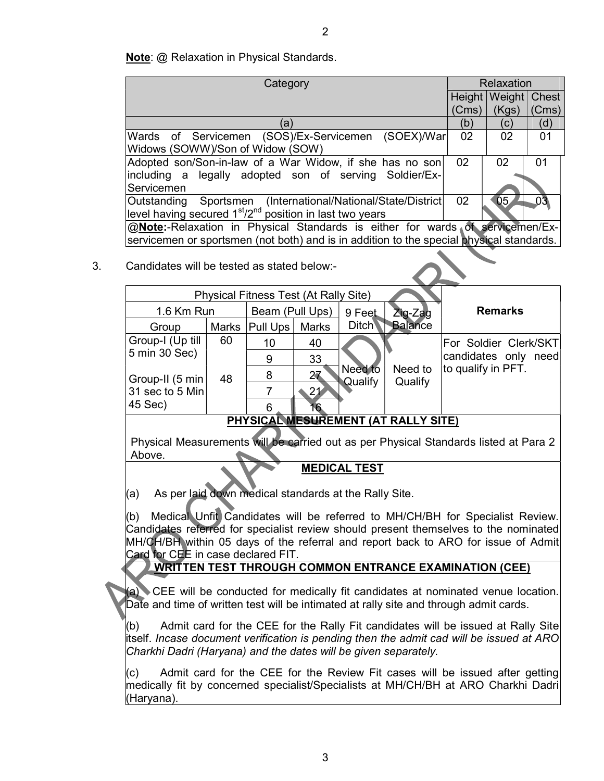Note: @ Relaxation in Physical Standards.

| Category                                                                                                                         |              |                                              |              |                    | Relaxation                                        |                       |                |       |
|----------------------------------------------------------------------------------------------------------------------------------|--------------|----------------------------------------------|--------------|--------------------|---------------------------------------------------|-----------------------|----------------|-------|
|                                                                                                                                  |              |                                              |              |                    |                                                   | Height                | Weight         | Chest |
|                                                                                                                                  |              |                                              |              |                    |                                                   | (Cms)                 | (Kgs)          | (Cms) |
|                                                                                                                                  | (a)          |                                              |              |                    | (b)                                               | (c)                   | (d)            |       |
| Wards of Servicemen (SOS)/Ex-Servicemen (SOEX)/War<br>Widows (SOWW)/Son of Widow (SOW)                                           |              |                                              |              |                    |                                                   | 02                    | 02             | 01    |
| Adopted son/Son-in-law of a War Widow, if she has no son<br>including a legally adopted son of serving Soldier/Ex-<br>Servicemen |              |                                              |              |                    |                                                   | 02                    | 02             | 01    |
| Outstanding<br>level having secured $1st/2nd$ position in last two years                                                         |              |                                              |              |                    | Sportsmen (International/National/State/District) | 02                    | 05             | 03    |
| @Note:-Relaxation in Physical Standards is either for wards of servicemen/Ex-                                                    |              |                                              |              |                    |                                                   |                       |                |       |
| servicemen or sportsmen (not both) and is in addition to the special physical standards.                                         |              |                                              |              |                    |                                                   |                       |                |       |
| Candidates will be tested as stated below:-                                                                                      |              |                                              |              |                    |                                                   |                       |                |       |
|                                                                                                                                  |              | <b>Physical Fitness Test (At Rally Site)</b> |              |                    |                                                   |                       |                |       |
| 1.6 Km Run                                                                                                                       |              | Beam (Pull Ups)                              |              | 9 Feet             | Zig-Zag                                           |                       | <b>Remarks</b> |       |
| Group                                                                                                                            | <b>Marks</b> | Pull Ups                                     | <b>Marks</b> | <b>Ditch</b>       | <b>Balance</b>                                    |                       |                |       |
| Group-I (Up till                                                                                                                 | 60           | 10                                           | 40           |                    |                                                   | For Soldier Clerk/SKT |                |       |
| 5 min 30 Sec)                                                                                                                    |              | 9                                            | 33           |                    |                                                   | candidates only need  |                |       |
| Group-II (5 min)                                                                                                                 | 48           | 8                                            | 27           | Need to<br>Qualify | Need to<br>Qualify                                | to qualify in PFT.    |                |       |
| 31 sec to 5 Min                                                                                                                  |              | $\overline{7}$                               | 21           |                    |                                                   |                       |                |       |
| 45 Sec)                                                                                                                          |              | 6                                            |              |                    |                                                   |                       |                |       |
| PHYSICAL MESUREMENT (AT RALLY SITE)                                                                                              |              |                                              |              |                    |                                                   |                       |                |       |

Physical Measurements will be carried out as per Physical Standards listed at Para 2 Above.

MEDICAL TEST

(a) As per laid down medical standards at the Rally Site.

(b) Medical Unfit Candidates will be referred to MH/CH/BH for Specialist Review. Candidates referred for specialist review should present themselves to the nominated MH/CH/BH within 05 days of the referral and report back to ARO for issue of Admit Card for CEE in case declared FIT.

# WRITTEN TEST THROUGH COMMON ENTRANCE EXAMINATION (CEE)

(a) CEE will be conducted for medically fit candidates at nominated venue location. Date and time of written test will be intimated at rally site and through admit cards.

(b) Admit card for the CEE for the Rally Fit candidates will be issued at Rally Site itself. Incase document verification is pending then the admit cad will be issued at ARO Charkhi Dadri (Haryana) and the dates will be given separately.

(c) Admit card for the CEE for the Review Fit cases will be issued after getting medically fit by concerned specialist/Specialists at MH/CH/BH at ARO Charkhi Dadri (Haryana).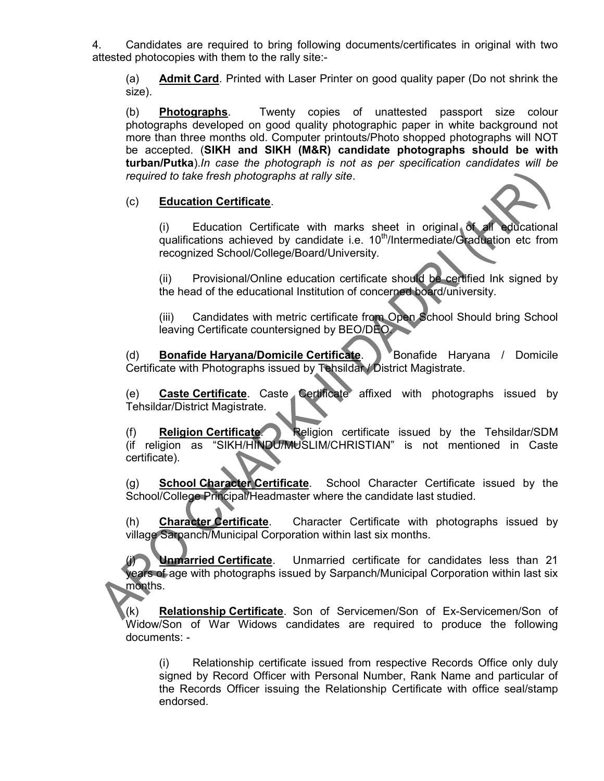4. Candidates are required to bring following documents/certificates in original with two attested photocopies with them to the rally site:-

(a) Admit Card. Printed with Laser Printer on good quality paper (Do not shrink the size).

(b) Photographs. Twenty copies of unattested passport size colour photographs developed on good quality photographic paper in white background not more than three months old. Computer printouts/Photo shopped photographs will NOT be accepted. (SIKH and SIKH (M&R) candidate photographs should be with turban/Putka).In case the photograph is not as per specification candidates will be required to take fresh photographs at rally site.

### (c) Education Certificate.

(i) Education Certificate with marks sheet in original of all educational qualifications achieved by candidate i.e.  $10<sup>th</sup>/Intermediate/Gradulation$  etc from recognized School/College/Board/University.

(ii) Provisional/Online education certificate should be certified Ink signed by the head of the educational Institution of concerned board/university.

(iii) Candidates with metric certificate from Open School Should bring School leaving Certificate countersigned by BEO/DEO.

(d) **Bonafide Haryana/Domicile Certificate**. Bonafide Haryana / Domicile Certificate with Photographs issued by Tehsildar / District Magistrate.

(e) **Caste Certificate**. Caste Certificate affixed with photographs issued by Tehsildar/District Magistrate.

(f) Religion Certificate. Religion certificate issued by the Tehsildar/SDM (if religion as "SIKH/HINDU/MUSLIM/CHRISTIAN" is not mentioned in Caste certificate).

(g) **School Character Certificate**. School Character Certificate issued by the School/College Principal/Headmaster where the candidate last studied.

(h) **Character Certificate**. Character Certificate with photographs issued by village Sarpanch/Municipal Corporation within last six months.

Unmarried Certificate. Unmarried certificate for candidates less than 21 years of age with photographs issued by Sarpanch/Municipal Corporation within last six months.

(k) Relationship Certificate. Son of Servicemen/Son of Ex-Servicemen/Son of Widow/Son of War Widows candidates are required to produce the following documents: -

(i) Relationship certificate issued from respective Records Office only duly signed by Record Officer with Personal Number, Rank Name and particular of the Records Officer issuing the Relationship Certificate with office seal/stamp endorsed.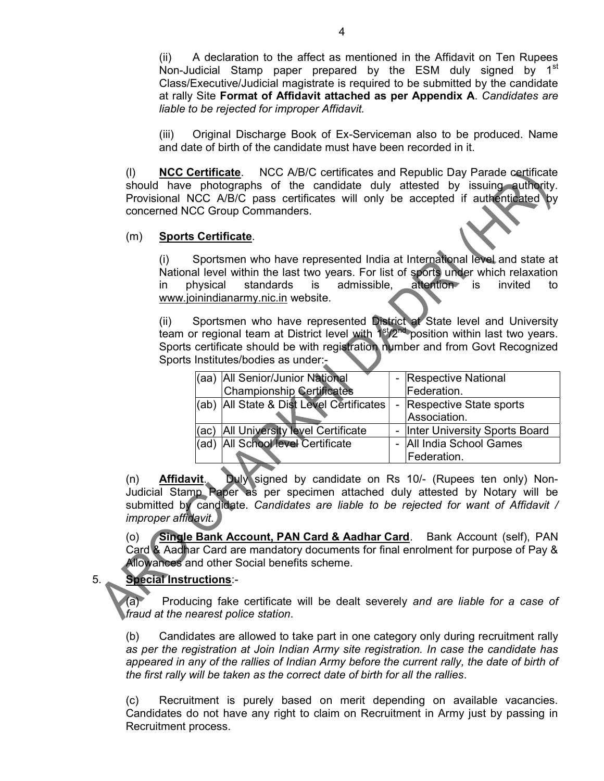(ii) A declaration to the affect as mentioned in the Affidavit on Ten Rupees Non-Judicial Stamp paper prepared by the ESM duly signed by 1<sup>st</sup> Class/Executive/Judicial magistrate is required to be submitted by the candidate at rally Site Format of Affidavit attached as per Appendix A. Candidates are liable to be rejected for improper Affidavit.

(iii) Original Discharge Book of Ex-Serviceman also to be produced. Name and date of birth of the candidate must have been recorded in it.

(l) NCC Certificate. NCC A/B/C certificates and Republic Day Parade certificate should have photographs of the candidate duly attested by issuing authority. Provisional NCC A/B/C pass certificates will only be accepted if authenticated by concerned NCC Group Commanders.

#### (m) Sports Certificate.

(i) Sportsmen who have represented India at International level and state at National level within the last two years. For list of sports under which relaxation in physical standards is admissible, attention is invited to www.joinindianarmy.nic.in website.

(ii) Sportsmen who have represented District at State level and University team or regional team at District level with  $1<sup>st</sup>/2<sup>nd</sup>$  position within last two years. Sports certificate should be with registration number and from Govt Recognized Sports Institutes/bodies as under:-

| (aa) | All Senior/Junior National               | $\sim$ | <b>Respective National</b>      |
|------|------------------------------------------|--------|---------------------------------|
|      | <b>Championship Certificates</b>         |        | Federation.                     |
|      | (ab) All State & Dist Level Certificates |        | - Respective State sports       |
|      |                                          |        | Association.                    |
| (ac) | <b>All University level Certificate</b>  |        | - Inter University Sports Board |
| (ad  | All School level Certificate             |        | - All India School Games        |
|      |                                          |        | <b>IFederation.</b>             |

(n) Affidavit. Duly signed by candidate on Rs 10/- (Rupees ten only) Non-Judicial Stamp Paper as per specimen attached duly attested by Notary will be submitted by candidate. Candidates are liable to be rejected for want of Affidavit / improper affidavit.

(o) Single Bank Account, PAN Card & Aadhar Card. Bank Account (self), PAN Card & Aadhar Card are mandatory documents for final enrolment for purpose of Pay & Allowances and other Social benefits scheme.

## 5. Special Instructions:-

(a) Producing fake certificate will be dealt severely and are liable for a case of fraud at the nearest police station.

(b) Candidates are allowed to take part in one category only during recruitment rally as per the registration at Join Indian Army site registration. In case the candidate has appeared in any of the rallies of Indian Army before the current rally, the date of birth of the first rally will be taken as the correct date of birth for all the rallies.

(c) Recruitment is purely based on merit depending on available vacancies. Candidates do not have any right to claim on Recruitment in Army just by passing in Recruitment process.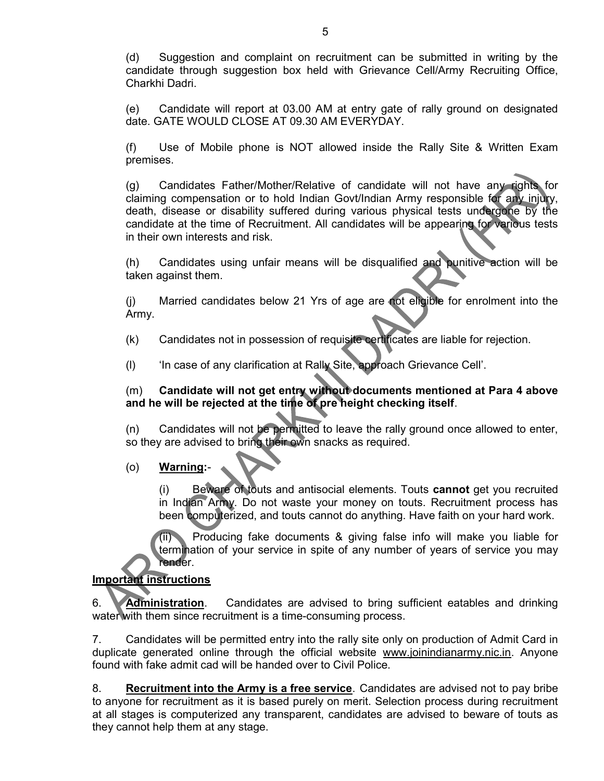(d) Suggestion and complaint on recruitment can be submitted in writing by the candidate through suggestion box held with Grievance Cell/Army Recruiting Office, Charkhi Dadri.

(e) Candidate will report at 03.00 AM at entry gate of rally ground on designated date. GATE WOULD CLOSE AT 09.30 AM EVERYDAY.

(f) Use of Mobile phone is NOT allowed inside the Rally Site & Written Exam premises.

(g) Candidates Father/Mother/Relative of candidate will not have any rights for claiming compensation or to hold Indian Govt/Indian Army responsible for any injury, death, disease or disability suffered during various physical tests undergone by the candidate at the time of Recruitment. All candidates will be appearing for various tests in their own interests and risk.

(h) Candidates using unfair means will be disqualified and punitive action will be taken against them.

(j) Married candidates below 21 Yrs of age are not eligible for enrolment into the Army.

(k) Candidates not in possession of requisite certificates are liable for rejection.

(l) 'In case of any clarification at Rally Site, approach Grievance Cell'.

## (m) Candidate will not get entry without documents mentioned at Para 4 above and he will be rejected at the time of pre height checking itself.

(n) Candidates will not be permitted to leave the rally ground once allowed to enter, so they are advised to bring their own snacks as required.

## (o) Warning:-

(i) Beware of touts and antisocial elements. Touts cannot get you recruited in Indian Army. Do not waste your money on touts. Recruitment process has been computerized, and touts cannot do anything. Have faith on your hard work.

Producing fake documents & giving false info will make you liable for termination of your service in spite of any number of years of service you may render.

# Important instructions

6. Administration. Candidates are advised to bring sufficient eatables and drinking water with them since recruitment is a time-consuming process.

7. Candidates will be permitted entry into the rally site only on production of Admit Card in duplicate generated online through the official website www.joinindianarmy.nic.in. Anyone found with fake admit cad will be handed over to Civil Police.

8. Recruitment into the Army is a free service. Candidates are advised not to pay bribe to anyone for recruitment as it is based purely on merit. Selection process during recruitment at all stages is computerized any transparent, candidates are advised to beware of touts as they cannot help them at any stage.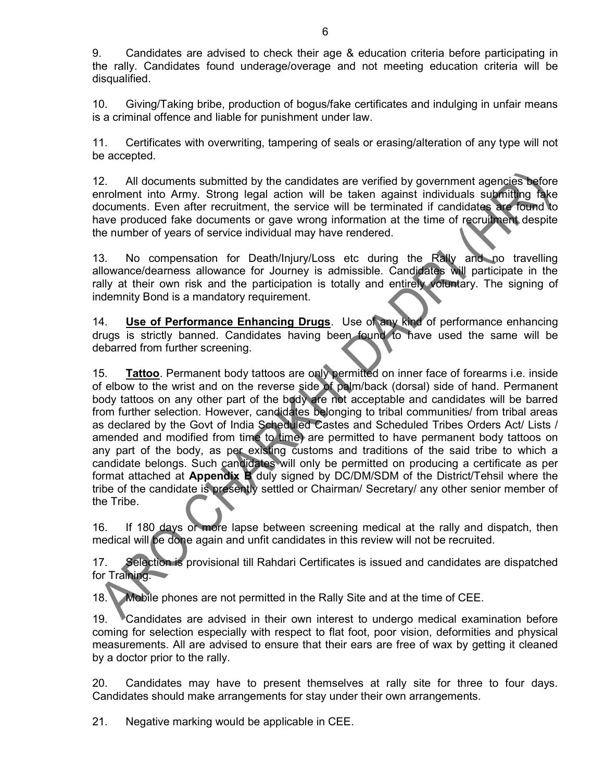9. Candidates are advised to check their age & education criteria before participating in the rally. Candidates found underage/overage and not meeting education criteria will be disqualified.

10. Giving/Taking bribe, production of bogus/fake certificates and indulging in unfair means is a criminal offence and liable for punishment under law.

11. Certificates with overwriting, tampering of seals or erasing/alteration of any type will not be accepted.

12. All documents submitted by the candidates are verified by government agencies before enrolment into Army. Strong legal action will be taken against individuals submitting fake documents. Even after recruitment, the service will be terminated if candidates are found to have produced fake documents or gave wrong information at the time of recruitment despite the number of years of service individual may have rendered.

13. No compensation for Death/Injury/Loss etc during the Rally and no travelling allowance/dearness allowance for Journey is admissible. Candidates will participate in the rally at their own risk and the participation is totally and entirely voluntary. The signing of indemnity Bond is a mandatory requirement.

14. Use of Performance Enhancing Drugs. Use of any kind of performance enhancing drugs is strictly banned. Candidates having been found to have used the same will be debarred from further screening.

15. Tattoo. Permanent body tattoos are only permitted on inner face of forearms i.e. inside of elbow to the wrist and on the reverse side of palm/back (dorsal) side of hand. Permanent body tattoos on any other part of the body are not acceptable and candidates will be barred from further selection. However, candidates belonging to tribal communities/ from tribal areas as declared by the Govt of India Scheduled Castes and Scheduled Tribes Orders Act/ Lists / amended and modified from time to time) are permitted to have permanent body tattoos on any part of the body, as per existing customs and traditions of the said tribe to which a candidate belongs. Such candidates will only be permitted on producing a certificate as per format attached at **Appendix B** duly signed by DC/DM/SDM of the District/Tehsil where the tribe of the candidate is presently settled or Chairman/ Secretary/ any other senior member of the Tribe.

16. If 180 days or more lapse between screening medical at the rally and dispatch, then medical will be done again and unfit candidates in this review will not be recruited.

17. Selection is provisional till Rahdari Certificates is issued and candidates are dispatched for Training.

18. Mobile phones are not permitted in the Rally Site and at the time of CEE.

19. Candidates are advised in their own interest to undergo medical examination before coming for selection especially with respect to flat foot, poor vision, deformities and physical measurements. All are advised to ensure that their ears are free of wax by getting it cleaned by a doctor prior to the rally.

20. Candidates may have to present themselves at rally site for three to four days. Candidates should make arrangements for stay under their own arrangements.

21. Negative marking would be applicable in CEE.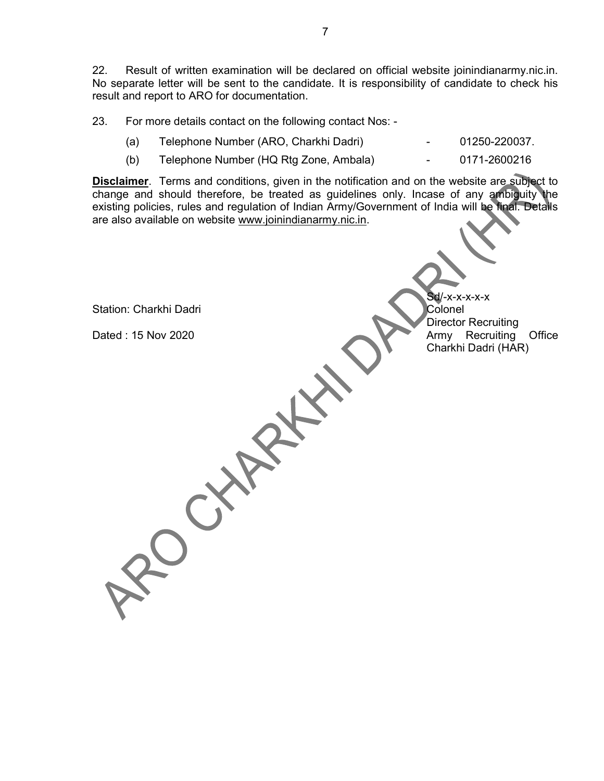22. Result of written examination will be declared on official website joinindianarmy.nic.in. No separate letter will be sent to the candidate. It is responsibility of candidate to check his result and report to ARO for documentation.

23. For more details contact on the following contact Nos: -

- (a) Telephone Number (ARO, Charkhi Dadri) 01250-220037.
- (b) Telephone Number (HQ Rtg Zone, Ambala) 0171-2600216

Disclaimer. Terms and conditions, given in the notification and on the website are subject to change and should therefore, be treated as guidelines only. Incase of any ambiguity the existing policies, rules and regulation of Indian Army/Government of India will be final. Details are also available on website www.joinindianarmy.nic.in.

| Station: Charkhi Dadri | $Sd$ /-x-x-x-x-x<br>Colonel                                               |
|------------------------|---------------------------------------------------------------------------|
| Dated: 15 Nov 2020     | Director Recruiting<br>Army Recruiting (<br>Charkhi Dadri (HAR)<br>Office |
|                        |                                                                           |
|                        |                                                                           |
|                        |                                                                           |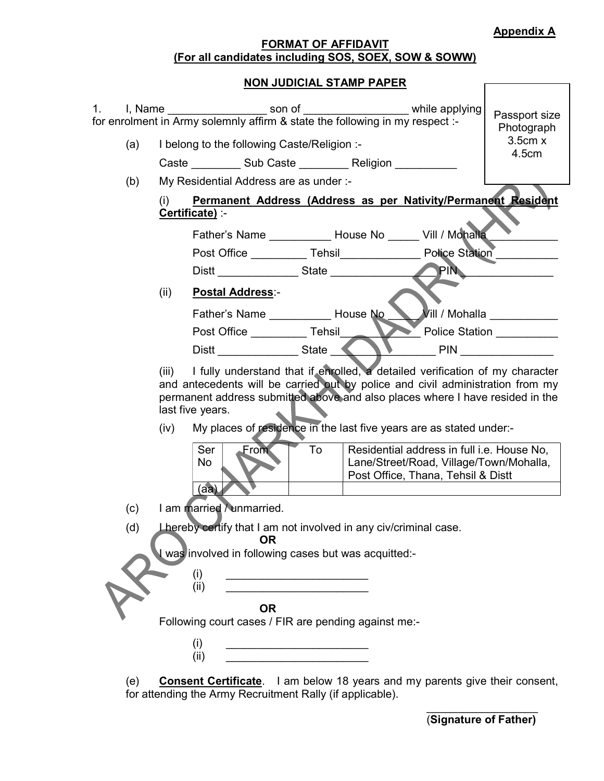### Appendix A

Г

### FORMAT OF AFFIDAVIT (For all candidates including SOS, SOEX, SOW & SOWW)

### NON JUDICIAL STAMP PAPER

|     |                                                                                                                                                                                                                                                                                                                                                             |                                                               | 1. I, Name ______________________ son of ________________________ while applying<br>for enrolment in Army solemnly affirm & state the following in my respect :- |                                                                                                                             | Passport size<br>Photograph                              |
|-----|-------------------------------------------------------------------------------------------------------------------------------------------------------------------------------------------------------------------------------------------------------------------------------------------------------------------------------------------------------------|---------------------------------------------------------------|------------------------------------------------------------------------------------------------------------------------------------------------------------------|-----------------------------------------------------------------------------------------------------------------------------|----------------------------------------------------------|
| (a) |                                                                                                                                                                                                                                                                                                                                                             | I belong to the following Caste/Religion :-                   |                                                                                                                                                                  |                                                                                                                             | 3.5cm x<br>4.5cm                                         |
|     |                                                                                                                                                                                                                                                                                                                                                             |                                                               | Caste Sub Caste Religion                                                                                                                                         |                                                                                                                             |                                                          |
| (b) |                                                                                                                                                                                                                                                                                                                                                             | My Residential Address are as under :-                        |                                                                                                                                                                  |                                                                                                                             |                                                          |
|     | (i)<br>Certificate) :-                                                                                                                                                                                                                                                                                                                                      | Permanent Address (Address as per Nativity/Permanent Resident |                                                                                                                                                                  |                                                                                                                             |                                                          |
|     |                                                                                                                                                                                                                                                                                                                                                             |                                                               | Father's Name ____________ House No ______ Vill / Mohalla                                                                                                        |                                                                                                                             |                                                          |
|     |                                                                                                                                                                                                                                                                                                                                                             |                                                               | Post Office ____________ Tehsil____________________ Police Station _________                                                                                     |                                                                                                                             |                                                          |
|     |                                                                                                                                                                                                                                                                                                                                                             |                                                               |                                                                                                                                                                  | PIN                                                                                                                         |                                                          |
|     | (ii)                                                                                                                                                                                                                                                                                                                                                        | <b>Postal Address:-</b>                                       |                                                                                                                                                                  |                                                                                                                             |                                                          |
|     |                                                                                                                                                                                                                                                                                                                                                             |                                                               | Father's Name House No                                                                                                                                           |                                                                                                                             | $\nu$ ill / Mohalla $\_\_\_\_\_\_\_\_\_\_\_\_\_\_\_\_\_$ |
|     |                                                                                                                                                                                                                                                                                                                                                             | Post Office ____________ Tehsil___                            |                                                                                                                                                                  |                                                                                                                             | Police Station _________                                 |
|     |                                                                                                                                                                                                                                                                                                                                                             |                                                               |                                                                                                                                                                  | <b>PIN Example 20</b>                                                                                                       |                                                          |
|     | I fully understand that if enrolled, a detailed verification of my character<br>(iii)<br>and antecedents will be carried out by police and civil administration from my<br>permanent address submitted above and also places where I have resided in the<br>last five years.<br>My places of residence in the last five years are as stated under:-<br>(iv) |                                                               |                                                                                                                                                                  |                                                                                                                             |                                                          |
|     |                                                                                                                                                                                                                                                                                                                                                             | <b>From</b><br>Ser<br>No<br>(aa)                              | To                                                                                                                                                               | Residential address in full i.e. House No,<br>Lane/Street/Road, Village/Town/Mohalla,<br>Post Office, Thana, Tehsil & Distt |                                                          |
| (c) |                                                                                                                                                                                                                                                                                                                                                             | I am married / unmarried.                                     |                                                                                                                                                                  |                                                                                                                             |                                                          |
| (d) |                                                                                                                                                                                                                                                                                                                                                             | <b>OR</b>                                                     | Lhereby certify that I am not involved in any civ/criminal case.                                                                                                 |                                                                                                                             |                                                          |
|     |                                                                                                                                                                                                                                                                                                                                                             |                                                               | I was involved in following cases but was acquitted:-                                                                                                            |                                                                                                                             |                                                          |
|     |                                                                                                                                                                                                                                                                                                                                                             | (i)<br>(ii)                                                   |                                                                                                                                                                  |                                                                                                                             |                                                          |
|     |                                                                                                                                                                                                                                                                                                                                                             |                                                               |                                                                                                                                                                  |                                                                                                                             |                                                          |
|     |                                                                                                                                                                                                                                                                                                                                                             | <b>OR</b>                                                     | Following court cases / FIR are pending against me:-                                                                                                             |                                                                                                                             |                                                          |
|     |                                                                                                                                                                                                                                                                                                                                                             | (i)<br>(ii)                                                   |                                                                                                                                                                  |                                                                                                                             |                                                          |
|     |                                                                                                                                                                                                                                                                                                                                                             |                                                               |                                                                                                                                                                  |                                                                                                                             |                                                          |

(e) Consent Certificate. I am below 18 years and my parents give their consent, for attending the Army Recruitment Rally (if applicable).  $\mathcal{L}_\mathcal{L} = \{ \mathcal{L}_\mathcal{L} \mid \mathcal{L}_\mathcal{L} \}$  , where  $\mathcal{L}_\mathcal{L} = \{ \mathcal{L}_\mathcal{L} \mid \mathcal{L}_\mathcal{L} \}$ 

(Signature of Father)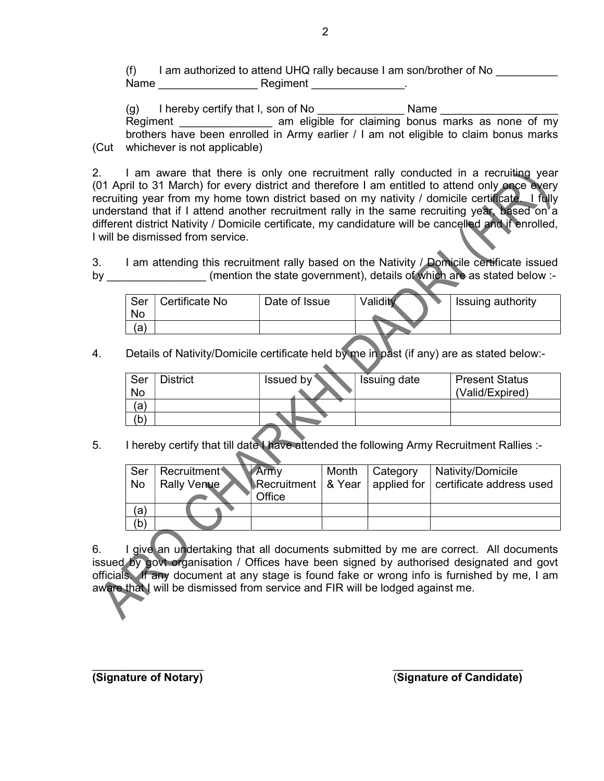(f) I am authorized to attend UHQ rally because I am son/brother of No Name \_\_\_\_\_\_\_\_\_\_\_\_\_\_\_\_ Regiment \_\_\_\_\_\_\_\_\_\_\_\_\_\_\_.

 $(g)$  I hereby certify that I, son of No  $\Box$  Name Regiment \_\_\_\_\_\_\_\_\_\_\_\_\_\_\_\_\_\_ am eligible for claiming bonus marks as none of my brothers have been enrolled in Army earlier / I am not eligible to claim bonus marks (Cut whichever is not applicable)

2. I am aware that there is only one recruitment rally conducted in a recruiting year (01 April to 31 March) for every district and therefore I am entitled to attend only once every recruiting year from my home town district based on my nativity / domicile certificate. I fully understand that if I attend another recruitment rally in the same recruiting year, based on a different district Nativity / Domicile certificate, my candidature will be cancelled and if enrolled, I will be dismissed from service.

3. I am attending this recruitment rally based on the Nativity / Domicile certificate issued by **Example 3** (mention the state government), details of which are as stated below :-

| Ser<br>.No | Certificate No | Date of Issue | Validity | Issuing authority |
|------------|----------------|---------------|----------|-------------------|
| ίa         |                |               |          |                   |

4. Details of Nativity/Domicile certificate held by me in past (if any) are as stated below:-

| Ser | <b>District</b> | Issued by | Issuing date | <b>Present Status</b> |
|-----|-----------------|-----------|--------------|-----------------------|
| No  |                 |           |              | (Valid/Expired)       |
| (a  |                 |           |              |                       |
| ď   |                 |           |              |                       |
|     |                 |           |              |                       |

5. I hereby certify that till date I have attended the following Army Recruitment Rallies :-

| Ser | <b>Recruitment</b> | <b>MArmy</b> | Month   Category | │ Nativity/Domicile                                             |
|-----|--------------------|--------------|------------------|-----------------------------------------------------------------|
|     |                    |              |                  |                                                                 |
| No  | Rally Venue        |              |                  | Recruitment   & Year   applied for $ $ certificate address used |
|     |                    |              |                  |                                                                 |
|     |                    | Office       |                  |                                                                 |
| (a  |                    |              |                  |                                                                 |
|     |                    |              |                  |                                                                 |
| (b  |                    |              |                  |                                                                 |
|     |                    |              |                  |                                                                 |

6. I give an undertaking that all documents submitted by me are correct. All documents issued by govt organisation / Offices have been signed by authorised designated and govt officials. If any document at any stage is found fake or wrong info is furnished by me, I am aware that I will be dismissed from service and FIR will be lodged against me.